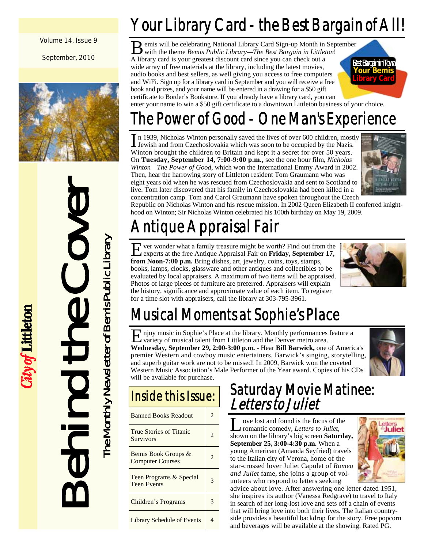Volume 14, Issue 9

September, 2010



Behind the Cover

ity of Littleton

The Monthly Newsletter of Bemis Public Library

The Monthly Newsletter of Bemis Public Library

## Your Library Card - the Best Bargain of All!

emis will be celebrating National Library Card Sign-up Month in September with the theme *Bemis Public Library—The Best Bargain in Littleton*! A library card is your greatest discount card since you can check out a wide array of free materials at the library, including the latest movies, audio books and best sellers, as well giving you access to free computers and WiFi. Sign up for a library card in September and you will receive a free book and prizes, and your name will be entered in a drawing for a \$50 gift certificate to Border's Bookstore. If you already have a library card, you can



enter your name to win a \$50 gift certificate to a downtown Littleton business of your choice.

## The Power of Good - One Man's Experience

In 1939, Nicholas Winton personally saved the lives of over 600 children, mostly **I** Jewish and from Czechoslovakia which was soon to be occupied by the Nazis. Winton brought the children to Britain and kept it a secret for over 50 years. On **Tuesday, September 14, 7:00-9:00 p.m.,** see the one hour film, *Nicholas Winton—The Power of Good*, which won the International Emmy Award in 2002. Then, hear the harrowing story of Littleton resident Tom Graumann who was eight years old when he was rescued from Czechoslovakia and sent to Scotland to live. Tom later discovered that his family in Czechoslovakia had been killed in a concentration camp. Tom and Carol Graumann have spoken throughout the Czech



Republic on Nicholas Winton and his rescue mission. In 2002 Queen Elizabeth II conferred knighthood on Winton; Sir Nicholas Winton celebrated his 100th birthday on May 19, 2009.

## Antique Appraisal Fair

ver wonder what a family treasure might be worth? Find out from the experts at the free Antique Appraisal Fair on **Friday, September 17, from Noon-7:00 p.m.** Bring dishes, art, jewelry, coins, toys, stamps, books, lamps, clocks, glassware and other antiques and collectibles to be evaluated by local appraisers. A maximum of two items will be appraised. Photos of large pieces of furniture are preferred. Appraisers will explain the history, significance and approximate value of each item. To register for a time slot with appraisers, call the library at 303-795-3961.



## Musical Moments at Sophie's Place

E njoy music in Sophie's Place at the library. Monthly performances feature a variety of musical talent from Littleton and the Denver metro area. **Wednesday, September 29, 2:00-3:00 p.m. -** Hear **Bill Barwick,** one of America's premier Western and cowboy music entertainers. Barwick's singing, storytelling, and superb guitar work are not to be missed! In 2009, Barwick won the coveted Western Music Association's Male Performer of the Year award. Copies of his CDs will be available for purchase.



## Inside this Issue:

| <b>Banned Books Readout</b>                        | 2. |
|----------------------------------------------------|----|
| <b>True Stories of Titanic</b><br><b>Survivors</b> | 2  |
| Bemis Book Groups &<br><b>Computer Courses</b>     | 2. |
| Teen Programs & Special<br><b>Teen Events</b>      |    |
| Children's Programs                                |    |
| <b>Library Schedule of Events</b>                  |    |

### Saturday Movie Matinee: Letters to Juliet

ove lost and found is the focus of the romantic comedy, *Letters to Juliet*, shown on the library's big screen **Saturday, September 25, 3:00-4:30 p.m.** When a young American (Amanda Seyfried) travels to the Italian city of Verona, home of the star-crossed lover Juliet Capulet of *Romeo and Juliet* fame, she joins a group of volunteers who respond to letters seeking



advice about love. After answering one letter dated 1951, she inspires its author (Vanessa Redgrave) to travel to Italy in search of her long-lost love and sets off a chain of events that will bring love into both their lives. The Italian countryside provides a beautiful backdrop for the story. Free popcorn and beverages will be available at the showing. Rated PG.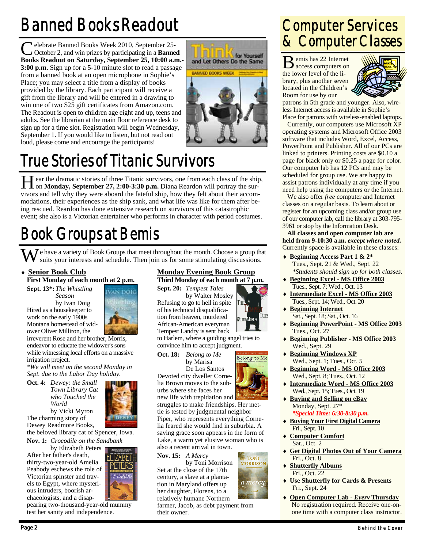## Banned Books Readout

Pelebrate Banned Books Week 2010, September 25-October 2, and win prizes by participating in a **Banned Books Readout on Saturday, September 25, 10:00 a.m.- 3:00 p.m.** Sign up for a 5-10 minute slot to read a passage from a banned book at an open microphone in Sophie's Place; you may select a title from a display of books provided by the library. Each participant will receive a gift from the library and will be entered in a drawing to win one of two \$25 gift certificates from Amazon.com. The Readout is open to children age eight and up, teens and adults. See the librarian at the main floor reference desk to sign up for a time slot. Registration will begin Wednesday, September 1. If you would like to listen, but not read out loud, please come and encourage the participants!



## True Stories of Titanic Survivors

H ear the dramatic stories of three Titanic survivors, one from each class of the ship, on **Monday**, September 27, 2:00-3:30 p.m. Diana Reardon will portray the survivors and tell why they were aboard the fateful ship, how they felt about their accommodations, their experiences as the ship sank, and what life was like for them after being rescued. Reardon has done extensive research on survivors of this catastrophic event; she also is a Victorian entertainer who performs in character with period costumes.

## Book Groups at Bemis

 $\sum$  e have a variety of Book Groups that meet throughout the month. Choose a group that suits your interests and schedule. Then join us for some stimulating discussions.

### **Senior Book Club**

**First Monday of each month at 2 p.m.** 

**Sept. 13\*:** *The Whistling Season*  by Ivan Doig Hired as a housekeeper to work on the early 1900s

Montana homestead of wid-



ower Oliver Milliron, the irreverent Rose and her brother, Morris, endeavor to educate the widower's sons while witnessing local efforts on a massive irrigation project.

*\*We will meet on the second Monday in Sept. due to the Labor Day holiday.* 

**Oct. 4:** *Dewey: the Small Town Library Cat who Touched the World*  by Vicki Myron



The charming story of Dewey Readmore Books,

the beloved library cat of Spencer, Iowa. **Nov. 1:** *Crocodile on the Sandbank* 

 by Elizabeth Peters After her father's death, thirty-two-year-old Amelia Peabody eschews the role of Victorian spinster and travels to Egypt, where mysterious intruders, boorish archaeologists, and a disap-

pearing two-thousand-year-old mummy test her sanity and independence.

### **Monday Evening Book Group**

**Third Monday of each month at 7 p.m. Sept. 20:** *Tempest Tales* 

 by Walter Mosley Refusing to go to hell in spite of his technical disqualification from heaven, murdered African-American everyman Tempest Landry is sent back

to Harlem, where a guiding angel tries to convince him to accept judgment.

**WALTER MOSLEY** 

Belong to Me

**TONI MORRISON** 

a mercy

by Marisa

Devoted city dweller Cornelia Brown moves to the sub-

struggles to make friendships. Her mettle is tested by judgmental neighbor Piper, who represents everything Cornelia feared she would find in suburbia. A saving grace soon appears in the form of Lake, a warm yet elusive woman who is

**Nov. 15:** *A Mercy* 

Set at the close of the 17th century, a slave at a plantation in Maryland offers up her daughter, Florens, to a relatively humane Northern

farmer, Jacob, as debt payment from their owner.

## Computer Services & Computer Classes

B emis has 22 Internet access computers on the lower level of the library, plus another seven located in the Children's Room for use by our



patrons in 5th grade and younger. Also, wireless Internet access is available in Sophie's Place for patrons with wireless-enabled laptops.

 Currently, our computers use Microsoft XP operating systems and Microsoft Office 2003 software that includes Word, Excel, Access, PowerPoint and Publisher. All of our PCs are linked to printers. Printing costs are \$0.10 a page for black only or \$0.25 a page for color. Our computer lab has 12 PCs and may be scheduled for group use. We are happy to assist patrons individually at any time if you need help using the computers or the Internet.

 We also offer *free* computer and Internet classes on a regular basis. To learn about or register for an upcoming class and/or group use of our computer lab, call the library at 303-795- 3961 or stop by the Information Desk.

**All classes and open computer lab are held from 9-10:30 a.m.** *except where noted.* Currently space is available in these classes:

- **Beginning Access Part 1 & 2\*** Tues., Sept. 21 & Wed., Sept. 22  *\*Students should sign up for both classes.*
- **Beginning Excel MS Office 2003** Tues., Sept. 7; Wed., Oct. 13
- **Intermediate Excel MS Office 2003** Tues., Sept. 14; Wed., Oct. 20
- **Beginning Internet** Sat., Sept. 18; Sat., Oct. 16
- **Beginning PowerPoint MS Office 2003** Tues., Oct. 27 **Beginning Publisher - MS Office 2003**
- Wed., Sept. 29
- **Beginning Windows XP** Wed., Sept. 1; Tues., Oct. 5
- **Beginning Word MS Office 2003** Wed., Sept. 8; Tues., Oct. 12
- **Intermediate Word MS Office 2003** Wed., Sept. 15; Tues., Oct. 19
- **Buying and Selling on eBay** Monday, Sept. 27\*  *\*Special Time: 6:30-8:30 p.m.*
- **Buying Your First Digital Camera** Fri., Sept. 10
- **Computer Comfort** Sat., Oct. 2
- **Get Digital Photos Out of Your Camera** Fri., Oct. 8
- **Shutterfly Albums** Fri., Oct. 22
- **Use Shutterfly for Cards & Presents** Fri., Sept. 24
- **Open Computer Lab** *Every* **Thursday** No registration required. Receive one-onone time with a computer class instructor.



**Oct. 18:** *Belong to Me* 

 De Los Santos urbs where she faces her

new life with trepidation and

also a recent arrival in town.

by Toni Morrison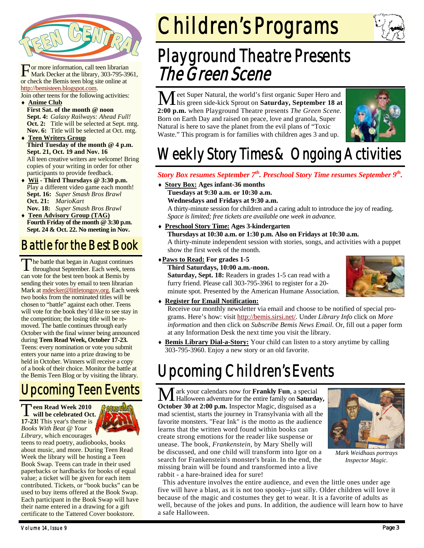

For more information, call teen librarian<br>Mark Decker at the library, 303-795-3961, or check the Bemis teen blog site online at http://bemisteen.blogspot.com.

Join other teens for the following activities: **Anime Club**

- **First Sat. of the month @ noon Sept. 4:** *Galaxy Railways: Ahead Full!* **Oct. 2:** Title will be selected at Sept. mtg. **Nov. 6:** Title will be selected at Oct. mtg.
- **Teen Writers Group Third Tuesday of the month @ 4 p.m. Sept. 21, Oct. 19 and Nov. 16**  All teen creative writers are welcome! Bring copies of your writing in order for other participants to provide feedback.
- **Wii Third Thursdays @ 3:30 p.m.**  Play a different video game each month! **Sept. 16:** *Super Smash Bros Brawl*  **Oct. 21:** *MarioKart*  **Nov. 18:** *Super Smash Bros Brawl*
- **Teen Advisory Group (TAG) Fourth Friday of the month @ 3:30 p.m. Sept. 24 & Oct. 22. No meeting in Nov.**

## Battle for the Best Book

The battle that began in August continues<br>throughout September. Each week, teens can vote for the best teen book at Bemis by sending their votes by email to teen librarian Mark at mdecker@littletongov.org. Each week two books from the nominated titles will be chosen to "battle" against each other. Teens will vote for the book they'd like to see stay in the competition; the losing title will be removed. The battle continues through early October with the final winner being announced during **Teen Read Week, October 17-23.** Teens: every nomination or vote you submit enters your name into a prize drawing to be held in October. Winners will receive a copy of a book of their choice. Monitor the battle at the Bemis Teen Blog or by visiting the library.

## Upcoming Teen Events

T**een Read Week 2010 will be celebrated Oct. 17-23!** This year's theme is *Books With Beat @ Your Library*, which encourages



teens to read poetry, audiobooks, books about music, and more. During Teen Read Week the library will be hosting a Teen Book Swap. Teens can trade in their used paperbacks or hardbacks for books of equal value; a ticket will be given for each item contributed. Tickets, or "book bucks" can be used to buy items offered at the Book Swap. Each participant in the Book Swap will have their name entered in a drawing for a gift certificate to the Tattered Cover bookstore.

# Children's Programs

## Playground Theatre Presents The Green Scene

M eet Super Natural, the world's first organic Super Hero and his green side-kick Sprout on **Saturday, September 18 at 2:00 p.m.** when Playground Theatre presents *The Green Scene.* Born on Earth Day and raised on peace, love and granola, Super Natural is here to save the planet from the evil plans of "Toxic Waste." This program is for families with children ages 3 and up.



## Weekly Story Times & Ongoing Activities

### *Story Box resumes September 7th. Preschool Story Time resumes September 9th.*

 **Story Box: Ages infant-36 months Tuesdays at 9:30 a.m. or 10:30 a.m.** 

 **Wednesdays and Fridays at 9:30 a.m.** 

A thirty-minute session for children and a caring adult to introduce the joy of reading. *Space is limited; free tickets are available one week in advance.* 

 **Preschool Story Time: Ages 3-kindergarten Thursdays at 10:30 a.m. or 1:30 p.m. Also on Fridays at 10:30 a.m.**  A thirty-minute independent session with stories, songs, and activities with a puppet

show the first week of the month.

#### **Paws to Read: For grades 1-5 Third Saturdays, 10:00 a.m.-noon.**

**Saturday, Sept. 18:** Readers in grades 1-5 can read with a furry friend. Please call 303-795-3961 to register for a 20 minute spot. Presented by the American Humane Association.



### **Register for Email Notification:**

Receive our monthly newsletter via email and choose to be notified of special programs. Here's how: visit http://bemis.sirsi.net/. Under *Library Info* click on *More information* and then click on *Subscribe Bemis News Email*. Or, fill out a paper form at any Information Desk the next time you visit the library.

 **Bemis Library Dial-a-Story:** Your child can listen to a story anytime by calling 303-795-3960. Enjoy a new story or an old favorite.

## Upcoming Children's Events

M ark your calendars now for **Frankly Fun**, a special Halloween adventure for the entire family on **Saturday, October 30 at 2:00 p.m.** Inspector Magic, disguised as a mad scientist, starts the journey in Transylvania with all the favorite monsters. "Fear Ink" is the motto as the audience learns that the written word found within books can create strong emotions for the reader like suspense or unease. The book*, Frankenstein,* by Mary Shelly will be discussed, and one child will transform into Igor on a search for Frankenstein's monster's brain. In the end, the missing brain will be found and transformed into a live rabbit - a hare-brained idea for sure!



*Mark Weidhaas portrays Inspector Magic.* 

 This adventure involves the entire audience, and even the little ones under age five will have a blast, as it is not too spooky--just silly. Older children will love it because of the magic and costumes they get to wear. It is a favorite of adults as well, because of the jokes and puns. In addition, the audience will learn how to have a safe Halloween.